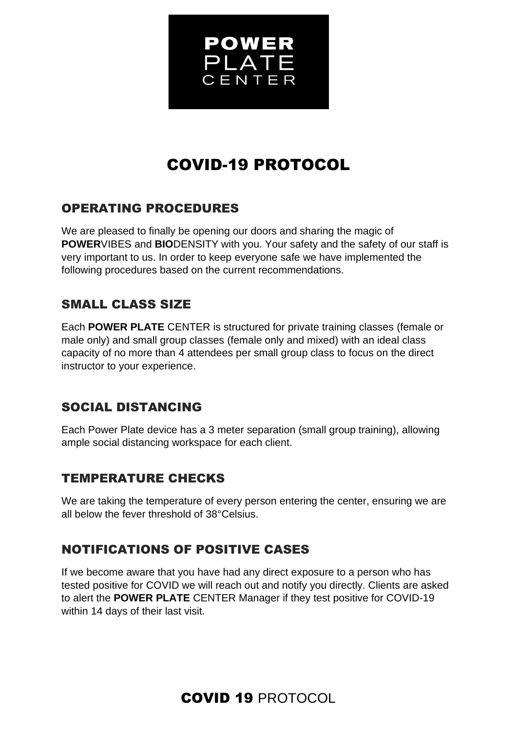

# COVID-19 PROTOCOL

### OPERATING PROCEDURES

We are pleased to finally be opening our doors and sharing the magic of **POWER**VIBES and **BIO**DENSITY with you. Your safety and the safety of our staff is very important to us. In order to keep everyone safe we have implemented the following procedures based on the current recommendations.

### SMALL CLASS SIZE

Each **POWER PLATE** CENTER is structured for private training classes (female or male only) and small group classes (female only and mixed) with an ideal class capacity of no more than 4 attendees per small group class to focus on the direct instructor to your experience.

### SOCIAL DISTANCING

Each Power Plate device has a 3 meter separation (small group training), allowing ample social distancing workspace for each client.

### TEMPERATURE CHECKS

We are taking the temperature of every person entering the center, ensuring we are all below the fever threshold of 38°Celsius.

### NOTIFICATIONS OF POSITIVE CASES

If we become aware that you have had any direct exposure to a person who has tested positive for COVID we will reach out and notify you directly. Clients are asked to alert the **POWER PLATE** CENTER Manager if they test positive for COVID-19 within 14 days of their last visit.

### COVID 19 PROTOCOL